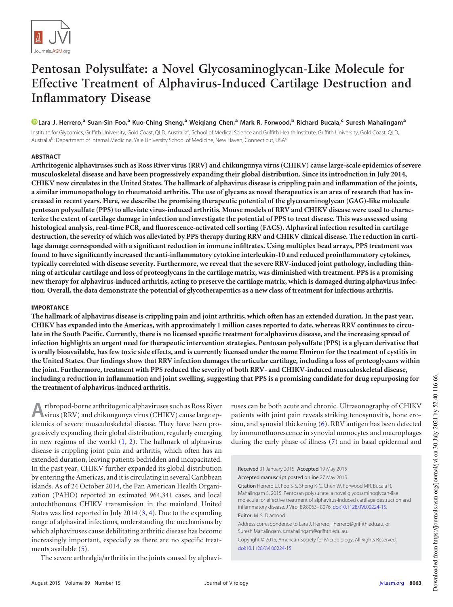

# **Pentosan Polysulfate: a Novel Glycosaminoglycan-Like Molecule for Effective Treatment of Alphavirus-Induced Cartilage Destruction and Inflammatory Disease**

# **Lara J. Herrero,<sup>a</sup> Suan-Sin Foo,<sup>a</sup> Kuo-Ching Sheng,<sup>a</sup> Weiqiang Chen,<sup>a</sup> Mark R. Forwood,<sup>b</sup> Richard Bucala,<sup>c</sup> Suresh Mahalingam<sup>a</sup>**

Institute for Glycomics, Griffith University, Gold Coast, QLD, Australia<sup>a</sup>; School of Medical Science and Griffith Health Institute, Griffith University, Gold Coast, QLD, Australia<sup>b</sup>; Department of Internal Medicine, Yale University School of Medicine, New Haven, Connecticut, USA<sup>c</sup>

### **ABSTRACT**

**Arthritogenic alphaviruses such as Ross River virus (RRV) and chikungunya virus (CHIKV) cause large-scale epidemics of severe musculoskeletal disease and have been progressively expanding their global distribution. Since its introduction in July 2014, CHIKV now circulates in the United States. The hallmark of alphavirus disease is crippling pain and inflammation of the joints, a similar immunopathology to rheumatoid arthritis. The use of glycans as novel therapeutics is an area of research that has increased in recent years. Here, we describe the promising therapeutic potential of the glycosaminoglycan (GAG)-like molecule pentosan polysulfate (PPS) to alleviate virus-induced arthritis. Mouse models of RRV and CHIKV disease were used to characterize the extent of cartilage damage in infection and investigate the potential of PPS to treat disease. This was assessed using histological analysis, real-time PCR, and fluorescence-activated cell sorting (FACS). Alphaviral infection resulted in cartilage destruction, the severity of which was alleviated by PPS therapy during RRV and CHIKV clinical disease. The reduction in cartilage damage corresponded with a significant reduction in immune infiltrates. Using multiplex bead arrays, PPS treatment was found to have significantly increased the anti-inflammatory cytokine interleukin-10 and reduced proinflammatory cytokines, typically correlated with disease severity. Furthermore, we reveal that the severe RRV-induced joint pathology, including thinning of articular cartilage and loss of proteoglycans in the cartilage matrix, was diminished with treatment. PPS is a promising new therapy for alphavirus-induced arthritis, acting to preserve the cartilage matrix, which is damaged during alphavirus infection. Overall, the data demonstrate the potential of glycotherapeutics as a new class of treatment for infectious arthritis.**

#### **IMPORTANCE**

**The hallmark of alphavirus disease is crippling pain and joint arthritis, which often has an extended duration. In the past year, CHIKV has expanded into the Americas, with approximately 1 million cases reported to date, whereas RRV continues to circulate in the South Pacific. Currently, there is no licensed specific treatment for alphavirus disease, and the increasing spread of infection highlights an urgent need for therapeutic intervention strategies. Pentosan polysulfate (PPS) is a glycan derivative that is orally bioavailable, has few toxic side effects, and is currently licensed under the name Elmiron for the treatment of cystitis in the United States. Our findings show that RRV infection damages the articular cartilage, including a loss of proteoglycans within the joint. Furthermore, treatment with PPS reduced the severity of both RRV- and CHIKV-induced musculoskeletal disease, including a reduction in inflammation and joint swelling, suggesting that PPS is a promising candidate for drug repurposing for the treatment of alphavirus-induced arthritis.**

**A** virus (RRV) and chikungunya virus (CHIKV) cause large eprthropod-borne arthritogenic alphaviruses such as Ross River idemics of severe musculoskeletal disease. They have been progressively expanding their global distribution, regularly emerging in new regions of the world  $(1, 2)$  $(1, 2)$  $(1, 2)$ . The hallmark of alphavirus disease is crippling joint pain and arthritis, which often has an extended duration, leaving patients bedridden and incapacitated. In the past year, CHIKV further expanded its global distribution by entering the Americas, and it is circulating in several Caribbean islands. As of 24 October 2014, the Pan American Health Organization (PAHO) reported an estimated 964,341 cases, and local autochthonous CHIKV transmission in the mainland United States was first reported in July 2014 [\(3,](#page-12-2) [4\)](#page-12-3). Due to the expanding range of alphaviral infections, understanding the mechanisms by which alphaviruses cause debilitating arthritic disease has become increasingly important, especially as there are no specific treat-ments available [\(5\)](#page-12-4).

The severe arthralgia/arthritis in the joints caused by alphavi-

ruses can be both acute and chronic. Ultrasonography of CHIKV patients with joint pain reveals striking tenosynovitis, bone erosion, and synovial thickening [\(6\)](#page-12-5). RRV antigen has been detected by immunofluorescence in synovial monocytes and macrophages during the early phase of illness [\(7\)](#page-12-6) and in basal epidermal and

Received 31 January 2015 Accepted 19 May 2015

Accepted manuscript posted online 27 May 2015

Citation Herrero LJ, Foo S-S, Sheng K-C, Chen W, Forwood MR, Bucala R, Mahalingam S. 2015. Pentosan polysulfate: a novel glycosaminoglycan-like molecule for effective treatment of alphavirus-induced cartilage destruction and inflammatory disease. J Virol 89:8063– 8076. doi:10.1128/JVI.00224-15. Editor: M. S. Diamond

Address correspondence to Lara J. Herrero, l.herrero@griffith.edu.au, or Suresh Mahalingam, s.mahalingam@griffith.edu.au.

Copyright © 2015, American Society for Microbiology. All Rights Reserved. doi:10.1128/JVI.00224-15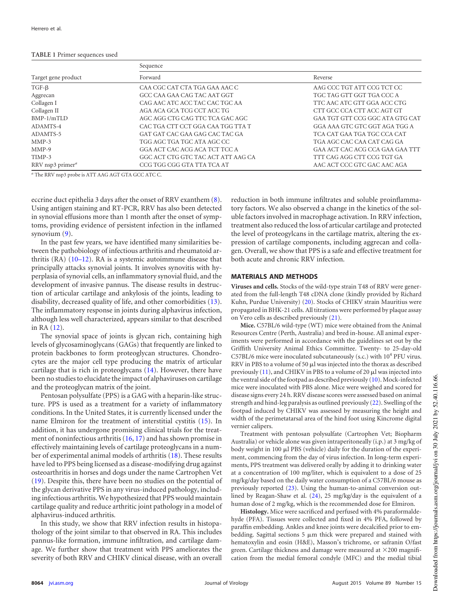#### <span id="page-1-0"></span>**TABLE 1** Primer sequences used

|                              | Sequence                           |                                 |  |  |  |  |
|------------------------------|------------------------------------|---------------------------------|--|--|--|--|
| Target gene product          | Forward                            | Reverse                         |  |  |  |  |
| $TGF-\beta$                  | CAA CGC CAT CTA TGA GAA AAC C      | AAG CCC TGT ATT CCG TCT CC      |  |  |  |  |
| Aggrecan                     | GCC CAA GAA CAG TAC AAT GGT        | TGC TAG GTT GGT TGA CCC A       |  |  |  |  |
| Collagen I                   | CAG AAC ATC ACC TAC CAC TGC AA     | TTC AAC ATC GTT GGA ACC CTG     |  |  |  |  |
| Collagen II                  | AGA ACA GCA TCG CCT ACC TG         | CTT GCC CCA CTT ACC AGT GT      |  |  |  |  |
| $BMP-1/mTLD$                 | AGC AGG CTG CAG TTC TCA GAC AGC    | GAA TGT GTT CCG GGC ATA GTG CAT |  |  |  |  |
| ADAMTS-4                     | CAC TGA CTT CCT GGA CAA TGG TTA T  | GGA AAA GTC GTC GGT AGA TGG A   |  |  |  |  |
| ADAMTS-5                     | GAT GAT CAC GAA GAG CAC TAC GA     | TCA CAT GAA TGA TGC CCA CAT     |  |  |  |  |
| $MMP-3$                      | TGG AGC TGA TGC ATA AGC CC         | TGA AGC CAC CAA CAT CAG GA      |  |  |  |  |
| $MMP-9$                      | GGA ACT CAC ACG ACA TCT TCC A      | GAA ACT CAC ACG CCA GAA GAA TTT |  |  |  |  |
| TIMP-3                       | GGC ACT CTG GTC TAC ACT ATT AAG CA | TTT CAG AGG CTT CCG TGT GA      |  |  |  |  |
| RRV nsp3 primer <sup>a</sup> | CCG TGG CGG GTA TTA TCA AT         | AAC ACT CCC GTC GAC AAC AGA     |  |  |  |  |

*<sup>a</sup>* The RRV nsp3 probe is ATT AAG AGT GTA GCC ATC C.

eccrine duct epithelia 3 days after the onset of RRV exanthem [\(8\)](#page-12-7). Using antigen staining and RT-PCR, RRV has also been detected in synovial effusions more than 1 month after the onset of symptoms, providing evidence of persistent infection in the inflamed synovium [\(9\)](#page-12-8).

In the past few years, we have identified many similarities between the pathobiology of infectious arthritis and rheumatoid arthritis  $(RA)$   $(10-12)$  $(10-12)$  $(10-12)$ . RA is a systemic autoimmune disease that principally attacks synovial joints. It involves synovitis with hyperplasia of synovial cells, an inflammatory synovial fluid, and the development of invasive pannus. The disease results in destruction of articular cartilage and ankylosis of the joints, leading to disability, decreased quality of life, and other comorbidities [\(13\)](#page-12-12). The inflammatory response in joints during alphavirus infection, although less well characterized, appears similar to that described in RA [\(12\)](#page-12-11).

The synovial space of joints is glycan rich, containing high levels of glycosaminoglycans (GAGs) that frequently are linked to protein backbones to form proteoglycan structures. Chondrocytes are the major cell type producing the matrix of articular cartilage that is rich in proteoglycans [\(14\)](#page-12-13). However, there have been no studies to elucidate the impact of alphaviruses on cartilage and the proteoglycan matrix of the joint.

Pentosan polysulfate (PPS) is a GAG with a heparin-like structure. PPS is used as a treatment for a variety of inflammatory conditions. In the United States, it is currently licensed under the name Elmiron for the treatment of interstitial cystitis [\(15\)](#page-12-14). In addition, it has undergone promising clinical trials for the treatment of noninfectious arthritis [\(16,](#page-12-15) [17\)](#page-12-16) and has shown promise in effectively maintaining levels of cartilage proteoglycans in a number of experimental animal models of arthritis [\(18\)](#page-12-17). These results have led to PPS being licensed as a disease-modifying drug against osteoarthritis in horses and dogs under the name Cartrophen Vet [\(19\)](#page-12-18). Despite this, there have been no studies on the potential of the glycan derivative PPS in any virus-induced pathology, including infectious arthritis. We hypothesized that PPS would maintain cartilage quality and reduce arthritic joint pathology in a model of alphavirus-induced arthritis.

In this study, we show that RRV infection results in histopathology of the joint similar to that observed in RA. This includes pannus-like formation, immune infiltration, and cartilage damage. We further show that treatment with PPS ameliorates the severity of both RRV and CHIKV clinical disease, with an overall

reduction in both immune infiltrates and soluble proinflammatory factors. We also observed a change in the kinetics of the soluble factors involved in macrophage activation. In RRV infection, treatment also reduced the loss of articular cartilage and protected the level of proteogylcans in the cartilage matrix, altering the expression of cartilage components, including aggrecan and collagen. Overall, we show that PPS is a safe and effective treatment for both acute and chronic RRV infection.

#### **MATERIALS AND METHODS**

**Viruses and cells.** Stocks of the wild-type strain T48 of RRV were generated from the full-length T48 cDNA clone (kindly provided by Richard Kuhn, Purdue University) [\(20\)](#page-12-19). Stocks of CHIKV strain Mauritius were propagated in BHK-21 cells. All titrations were performed by plaque assay on Vero cells as described previously [\(21\)](#page-12-20).

**Mice.** C57BL/6 wild-type (WT) mice were obtained from the Animal Resources Centre (Perth, Australia) and bred in-house. All animal experiments were performed in accordance with the guidelines set out by the Griffith University Animal Ethics Committee. Twenty- to 25-day-old C57BL/6 mice were inoculated subcutaneously (s.c.) with 10<sup>4</sup> PFU virus. RRV in PBS to a volume of 50  $\mu$ l was injected into the thorax as described previously  $(11)$ , and CHIKV in PBS to a volume of 20  $\mu$ l was injected into the ventral side of the footpad as described previously [\(10\)](#page-12-9). Mock-infected mice were inoculated with PBS alone. Mice were weighed and scored for disease signs every 24 h. RRV disease scores were assessed based on animal strength and hind-leg paralysis as outlined previously [\(22\)](#page-12-21). Swelling of the footpad induced by CHIKV was assessed by measuring the height and width of the perimetatarsal area of the hind foot using Kincrome digital vernier calipers.

Treatment with pentosan polysulfate (Cartrophen Vet; Biopharm Australia) or vehicle alone was given intraperitoneally (i.p.) at 3 mg/kg of body weight in 100  $\mu$ l PBS (vehicle) daily for the duration of the experiment, commencing from the day of virus infection. In long-term experiments, PPS treatment was delivered orally by adding it to drinking water at a concentration of 100 mg/liter, which is equivalent to a dose of 25 mg/kg/day based on the daily water consumption of a C57BL/6 mouse as previously reported [\(23\)](#page-12-22). Using the human-to-animal conversion outlined by Reagan-Shaw et al. [\(24\)](#page-12-23), 25 mg/kg/day is the equivalent of a human dose of 2 mg/kg, which is the recommended dose for Elmiron.

**Histology.** Mice were sacrificed and perfused with 4% paraformaldehyde (PFA). Tissues were collected and fixed in 4% PFA, followed by paraffin embedding. Ankles and knee joints were decalcified prior to embedding. Sagittal sections  $5 \mu m$  thick were prepared and stained with hematoxylin and eosin (H&E), Masson's trichrome, or safranin O/fast green. Cartilage thickness and damage were measured at  $\times$ 200 magnification from the medial femoral condyle (MFC) and the medial tibial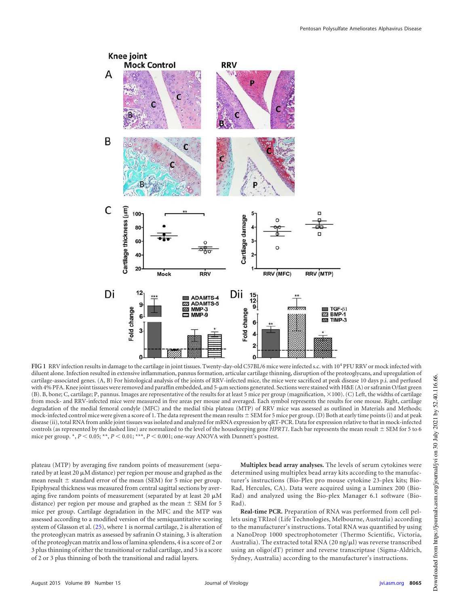

<span id="page-2-0"></span>FIG 1 RRV infection results in damage to the cartilage in joint tissues. Twenty-day-old C57BL/6 mice were infected s.c. with 10<sup>4</sup> PFU RRV or mock infected with diluent alone. Infection resulted in extensive inflammation, pannus formation, articular cartilage thinning, disruption of the proteoglycans, and upregulation of cartilage-associated genes. (A, B) For histological analysis of the joints of RRV-infected mice, the mice were sacrificed at peak disease 10 days p.i. and perfused with 4% PFA. Knee joint tissues were removed and paraffin embedded, and 5-µm sections generated. Sections were stained with H&E (A) or safranin O/fast green  $(B)$ . B, bone; C, cartilage; P, pannus. Images are representative of the results for at least 5 mice per group (magnification,  $\times 100$ ). (C) Left, the widths of cartilage from mock- and RRV-infected mice were measured in five areas per mouse and averaged. Each symbol represents the results for one mouse. Right, cartilage degradation of the medial femoral condyle (MFC) and the medial tibia plateau (MTP) of RRV mice was assessed as outlined in Materials and Methods; mock-infected control mice were given a score of 1. The data represent the mean results  $\pm$  SEM for 5 mice per group. (D) Both at early time points (i) and at peak disease (ii), total RNA from ankle joint tissues was isolated and analyzed for mRNA expression by qRT-PCR. Data for expression relative to that in mock-infected controls (as represented by the dashed line) are normalized to the level of the housekeeping gene  $HPRT1$ . Each bar represents the mean result  $\pm$  SEM for 5 to 6 mice per group. \*,  $P < 0.05$ ; \*\*,  $P < 0.01$ ; \*\*\*,  $P < 0.001$ ; one-way ANOVA with Dunnett's posttest.

plateau (MTP) by averaging five random points of measurement (separated by at least 20  $\mu$ M distance) per region per mouse and graphed as the mean result  $\pm$  standard error of the mean (SEM) for 5 mice per group. Epiphyseal thickness was measured from central sagittal sections by averaging five random points of measurement (separated by at least 20  $\mu$ M distance) per region per mouse and graphed as the mean  $\pm$  SEM for 5 mice per group. Cartilage degradation in the MFC and the MTP was assessed according to a modified version of the semiquantitative scoring system of Glasson et al. [\(25\)](#page-12-24), where 1 is normal cartilage, 2 is alteration of the proteoglycan matrix as assessed by safranin O staining, 3 is alteration of the proteoglycan matrix and loss of lamina splendens, 4 is a score of 2 or 3 plus thinning of either the transitional or radial cartilage, and 5 is a score of 2 or 3 plus thinning of both the transitional and radial layers.

**Multiplex bead array analyses.** The levels of serum cytokines were determined using multiplex bead array kits according to the manufacturer's instructions (Bio-Plex pro mouse cytokine 23-plex kits; Bio-Rad, Hercules, CA). Data were acquired using a Luminex 200 (Bio-Rad) and analyzed using the Bio-plex Manager 6.1 software (Bio-Rad).

**Real-time PCR.** Preparation of RNA was performed from cell pellets using TRIzol (Life Technologies, Melbourne, Australia) according to the manufacturer's instructions. Total RNA was quantified by using a NanoDrop 1000 spectrophotometer (Thermo Scientific, Victoria, Australia). The extracted total RNA (20 ng/ $\mu$ l) was reverse transcribed using an oligo(dT) primer and reverse transcriptase (Sigma-Aldrich, Sydney, Australia) according to the manufacturer's instructions.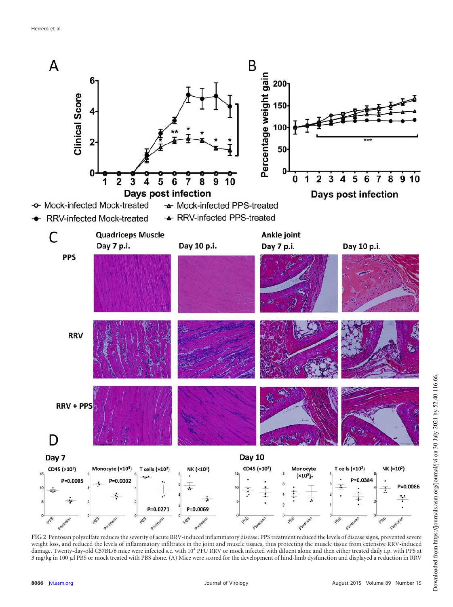

<span id="page-3-0"></span>**FIG 2** Pentosan polysulfate reduces the severity of acute RRV-induced inflammatory disease. PPS treatment reduced the levels of disease signs, prevented severe weight loss, and reduced the levels of inflammatory infiltrates in the joint and muscle tissues, thus protecting the muscle tissue from extensive RRV-induced damage. Twenty-day-old C57BL/6 mice were infected s.c. with 10<sup>4</sup> PFU RRV or mock infected with diluent alone and then either treated daily i.p. with PPS at 3 mg/kg in 100 µl PBS or mock treated with PBS alone. (A) Mice were scored for the development of hind-limb dysfunction and displayed a reduction in RRV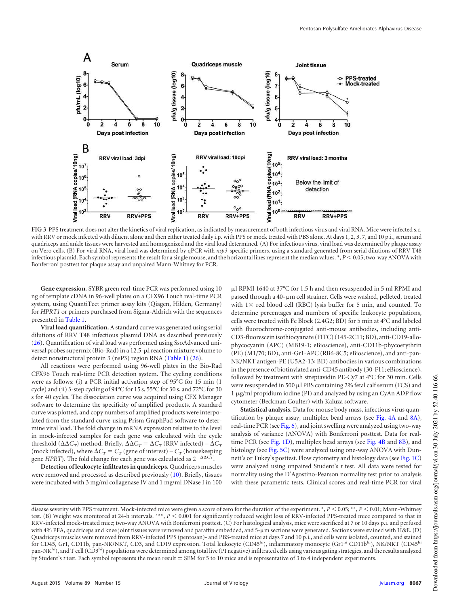

<span id="page-4-0"></span>**FIG 3** PPS treatment does not alter the kinetics of viral replication, as indicated by measurement of both infectious virus and viral RNA. Mice were infected s.c. with RRV or mock infected with diluent alone and then either treated daily i.p. with PPS or mock treated with PBS alone. At days 1, 2, 3, 7, and 10 p.i., serum and quadriceps and ankle tissues were harvested and homogenized and the viral load determined. (A) For infectious virus, viral load was determined by plaque assay on Vero cells. (B) For viral RNA, viral load was determined by qPCR with *nsp3*-specific primers, using a standard generated from serial dilutions of RRV T48 infectious plasmid. Each symbol represents the result for a single mouse, and the horizontal lines represent the median values. \*, *P* < 0.05; two-way ANOVA with Bonferroni posttest for plaque assay and unpaired Mann-Whitney for PCR.

**Gene expression.** SYBR green real-time PCR was performed using 10 ng of template cDNA in 96-well plates on a CFX96 Touch real-time PCR system, using QuantiTect primer assay kits (Qiagen, Hilden, Germany) for *HPRT1* or primers purchased from Sigma-Aldrich with the sequences presented in [Table 1.](#page-1-0)

**Viral load quantification.** A standard curve was generated using serial dilutions of RRV T48 infectious plasmid DNA as described previously [\(26\)](#page-12-25). Quantification of viral load was performed using SsoAdvanced universal probes supermix (Bio-Rad) in a 12.5-µl reaction mixture volume to detect nonstructural protein 3 (nsP3) region RNA [\(Table 1\)](#page-1-0) [\(26\)](#page-12-25).

All reactions were performed using 96-well plates in the Bio-Rad CFX96 Touch real-time PCR detection system. The cycling conditions were as follows: (i) a PCR initial activation step of 95°C for 15 min (1 cycle) and (ii) 3-step cycling of 94°C for 15 s, 55°C for 30 s, and 72°C for 30 s for 40 cycles. The dissociation curve was acquired using CFX Manager software to determine the specificity of amplified products. A standard curve was plotted, and copy numbers of amplified products were interpolated from the standard curve using Prism GraphPad software to determine viral load. The fold change in mRNA expression relative to the level in mock-infected samples for each gene was calculated with the cycle threshold  $(\Delta \Delta C_T)$  method. Briefly,  $\Delta \Delta C_T = \Delta C_T$  (RRV infected) –  $\Delta C_T$ (mock infected), where  $\Delta C_T = C_T$  (gene of interest) –  $C_T$  (housekeeping gene *HPRT*). The fold change for each gene was calculated as  $2^{-\Delta\Delta C\tilde{T}}$ .

**Detection of leukocyte infiltrates in quadriceps.** Quadriceps muscles were removed and processed as described previously [\(10\)](#page-12-9). Briefly, tissues were incubated with 3 mg/ml collagenase IV and 1 mg/ml DNase I in 100

µl RPMI 1640 at 37°C for 1.5 h and then resuspended in 5 ml RPMI and passed through a 40-µm cell strainer. Cells were washed, pelleted, treated with  $1 \times$  red blood cell (RBC) lysis buffer for 5 min, and counted. To determine percentages and numbers of specific leukocyte populations, cells were treated with Fc Block (2.4G2; BD) for 5 min at 4°C and labeled with fluorochrome-conjugated anti-mouse antibodies, including anti-CD3-fluorescein isothiocyanate (FITC) (145-2C11; BD), anti-CD19-allophycocyanin (APC) (MB19-1; eBioscience), anti-CD11b-phycoerythrin (PE) (M1/70; BD), anti-Gr1-APC (RB6-8C5; eBioscience), and anti-pan-NK/NKT antigen-PE (U5A2-13; BD) antibodies in various combinations in the presence of biotinylated anti-CD45 antibody (30-F11; eBioscience), followed by treatment with streptavidin PE-Cy7 at 4°C for 30 min. Cells were resuspended in 500  $\mu$ l PBS containing 2% fetal calf serum (FCS) and 1 µg/ml propidium iodine (PI) and analyzed by using an CyAn ADP flow cytometer (Beckman Coulter) with Kaluza software.

**Statistical analysis.** Data for mouse body mass, infectious virus quantification by plaque assay, multiplex bead arrays (see [Fig. 4A](#page-6-0) and [8A\)](#page-10-0), real-time PCR (see [Fig. 6\)](#page-8-0), and joint swelling were analyzed using two-way analysis of variance (ANOVA) with Bonferroni posttest. Data for real-time PCR (see [Fig. 1D\)](#page-2-0), multiplex bead arrays (see [Fig. 4B](#page-6-0) and [8B\)](#page-10-0), and histology (see [Fig. 5C\)](#page-7-0) were analyzed using one-way ANOVA with Dunnett's or Tukey's posttest. Flow cytometry and histology data (see [Fig. 1C\)](#page-2-0) were analyzed using unpaired Student's *t* test. All data were tested for normality using the D'Agostino-Pearson normality test prior to analysis with these parametric tests. Clinical scores and real-time PCR for viral

disease severity with PPS treatment. Mock-infected mice were given a score of zero for the duration of the experiment. \*, *P* < 0.05; \*\*, *P* < 0.01; Mann-Whitney test. (B) Weight was monitored at 24-h intervals. \*\*\*,  $P < 0.001$  for significantly reduced weight loss of RRV-infected PPS-treated mice compared to that in RRV-infected mock-treated mice; two-way ANOVA with Bonferroni posttest. (C) For histological analysis, mice were sacrificed at 7 or 10 days p.i. and perfused with 4% PFA, quadriceps and knee joint tissues were removed and paraffin embedded, and 5- $\mu$ m sections were generated. Sections were stained with H&E. (D) Quadriceps muscles were removed from RRV-infected PPS (pentosan)- and PBS-treated mice at days 7 and 10 p.i., and cells were isolated, counted, and stained for CD45, Gr1, CD11b, pan-NK/NKT, CD3, and CD19 expression. Total leukocyte (CD45<sup>hi</sup>), inflammatory monocyte (Gr1<sup>hi</sup> CD11b<sup>hi</sup>), NK/NKT (CD45<sup>hi</sup> pan-NK<sup>hi</sup>), and T cell (CD3<sup>hi</sup>) populations were determined among total live (PI negative) infiltrated cells using various gating strategies, and the results analyzed by Student's *t* test. Each symbol represents the mean result  $\pm$  SEM for 5 to 10 mice and is representative of 3 to 4 independent experiments.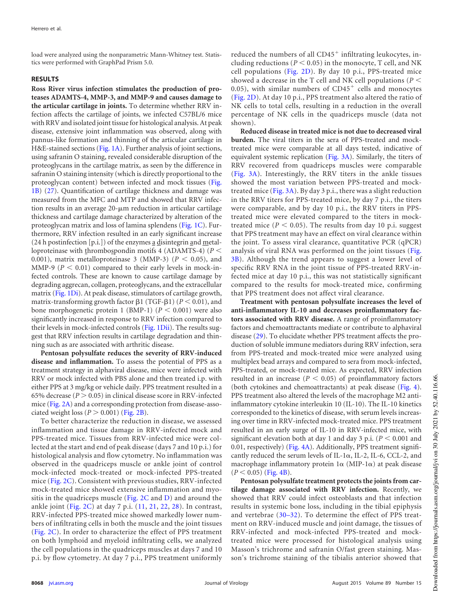load were analyzed using the nonparametric Mann-Whitney test. Statistics were performed with GraphPad Prism 5.0.

#### **RESULTS**

**Ross River virus infection stimulates the production of proteases ADAMTS-4, MMP-3, and MMP-9 and causes damage to the articular cartilage in joints.** To determine whether RRV infection affects the cartilage of joints, we infected C57BL/6 mice with RRV and isolated joint tissue for histological analysis. At peak disease, extensive joint inflammation was observed, along with pannus-like formation and thinning of the articular cartilage in H&E-stained sections [\(Fig. 1A\)](#page-2-0). Further analysis of joint sections, using safranin O staining, revealed considerable disruption of the proteoglycans in the cartilage matrix, as seen by the difference in safranin O staining intensity (which is directly proportional to the proteoglycan content) between infected and mock tissues [\(Fig.](#page-2-0) [1B\)](#page-2-0) [\(27\)](#page-12-26). Quantification of cartilage thickness and damage was measured from the MFC and MTP and showed that RRV infection results in an average 20-µm reduction in articular cartilage thickness and cartilage damage characterized by alteration of the proteoglycan matrix and loss of lamina splendens [\(Fig. 1C\)](#page-2-0). Furthermore, RRV infection resulted in an early significant increase (24 h postinfection [p.i.]) of the enzymes a disintegrin and metalloproteinase with thrombospondin motifs 4 (ADAMTS-4) (*P* 0.001), matrix metalloproteinase 3 (MMP-3)  $(P < 0.05)$ , and MMP-9 ( $P < 0.01$ ) compared to their early levels in mock-infected controls. These are known to cause cartilage damage by degrading aggrecan, collagen, proteoglycans, and the extracellular matrix [\(Fig. 1Di\)](#page-2-0). At peak disease, stimulators of cartilage growth, matrix-transforming growth factor  $\beta$ 1 (TGF- $\beta$ 1) ( $P < 0.01$ ), and bone morphogenetic protein 1 (BMP-1)  $(P < 0.001)$  were also significantly increased in response to RRV infection compared to their levels in mock-infected controls [\(Fig. 1Dii\)](#page-2-0). The results suggest that RRV infection results in cartilage degradation and thinning such as are associated with arthritic disease.

**Pentosan polysulfate reduces the severity of RRV-induced disease and inflammation.** To assess the potential of PPS as a treatment strategy in alphaviral disease, mice were infected with RRV or mock infected with PBS alone and then treated i.p. with either PPS at 3 mg/kg or vehicle daily. PPS treatment resulted in a 65% decrease  $(P > 0.05)$  in clinical disease score in RRV-infected mice [\(Fig. 2A\)](#page-3-0) and a corresponding protection from disease-associated weight loss  $(P > 0.001)$  [\(Fig. 2B\)](#page-3-0).

To better characterize the reduction in disease, we assessed inflammation and tissue damage in RRV-infected mock and PPS-treated mice. Tissues from RRV-infected mice were collected at the start and end of peak disease (days 7 and 10 p.i.) for histological analysis and flow cytometry. No inflammation was observed in the quadriceps muscle or ankle joint of control mock-infected mock-treated or mock-infected PPS-treated mice [\(Fig. 2C\)](#page-3-0). Consistent with previous studies, RRV-infected mock-treated mice showed extensive inflammation and myositis in the quadriceps muscle [\(Fig. 2C](#page-3-0) and [D\)](#page-3-0) and around the ankle joint (Fig.  $2C$ ) at day 7 p.i.  $(11, 21, 22, 28)$  $(11, 21, 22, 28)$  $(11, 21, 22, 28)$  $(11, 21, 22, 28)$  $(11, 21, 22, 28)$  $(11, 21, 22, 28)$  $(11, 21, 22, 28)$ . In contrast, RRV-infected PPS-treated mice showed markedly lower numbers of infiltrating cells in both the muscle and the joint tissues [\(Fig. 2C\)](#page-3-0). In order to characterize the effect of PPS treatment on both lymphoid and myeloid infiltrating cells, we analyzed the cell populations in the quadriceps muscles at days 7 and 10 p.i. by flow cytometry. At day 7 p.i., PPS treatment uniformly

reduced the numbers of all CD45<sup>+</sup> infiltrating leukocytes, including reductions ( $P < 0.05$ ) in the monocyte, T cell, and NK cell populations [\(Fig. 2D\)](#page-3-0). By day 10 p.i., PPS-treated mice showed a decrease in the T cell and NK cell populations (*P* 0.05), with similar numbers of  $CD45<sup>+</sup>$  cells and monocytes [\(Fig. 2D\)](#page-3-0). At day 10 p.i., PPS treatment also altered the ratio of NK cells to total cells, resulting in a reduction in the overall percentage of NK cells in the quadriceps muscle (data not shown).

**Reduced disease in treated mice is not due to decreased viral burden.** The viral titers in the sera of PPS-treated and mocktreated mice were comparable at all days tested, indicative of equivalent systemic replication [\(Fig. 3A\)](#page-4-0). Similarly, the titers of RRV recovered from quadriceps muscles were comparable [\(Fig. 3A\)](#page-4-0). Interestingly, the RRV titers in the ankle tissues showed the most variation between PPS-treated and mock-treated mice [\(Fig. 3A\)](#page-4-0). By day 3 p.i., there was a slight reduction in the RRV titers for PPS-treated mice, by day 7 p.i., the titers were comparable, and by day 10 p.i., the RRV titers in PPStreated mice were elevated compared to the titers in mocktreated mice ( $P < 0.05$ ). The results from day 10 p.i. suggest that PPS treatment may have an effect on viral clearance within the joint. To assess viral clearance, quantitative PCR (qPCR) analysis of viral RNA was performed on the joint tissues [\(Fig.](#page-4-0) [3B\)](#page-4-0). Although the trend appears to suggest a lower level of specific RRV RNA in the joint tissue of PPS-treated RRV-infected mice at day 10 p.i., this was not statistically significant compared to the results for mock-treated mice, confirming that PPS treatment does not affect viral clearance.

**Treatment with pentosan polysulfate increases the level of anti-inflammatory IL-10 and decreases proinflammatory factors associated with RRV disease.** A range of proinflammatory factors and chemoattractants mediate or contribute to alphaviral disease [\(29\)](#page-12-28). To elucidate whether PPS treatment affects the production of soluble immune mediators during RRV infection, sera from PPS-treated and mock-treated mice were analyzed using multiplex bead arrays and compared to sera from mock-infected, PPS-treated, or mock-treated mice. As expected, RRV infection resulted in an increase  $(P < 0.05)$  of proinflammatory factors (both cytokines and chemoattractants) at peak disease [\(Fig. 4\)](#page-6-0). PPS treatment also altered the levels of the macrophage M2 antiinflammatory cytokine interleukin 10 (IL-10). The IL-10 kinetics corresponded to the kinetics of disease, with serum levels increasing over time in RRV-infected mock-treated mice. PPS treatment resulted in an early surge of IL-10 in RRV-infected mice, with significant elevation both at day 1 and day 3 p.i.  $(P < 0.001$  and 0.01, respectively) [\(Fig. 4A\)](#page-6-0). Additionally, PPS treatment significantly reduced the serum levels of IL-1 $\alpha$ , IL-2, IL-6, CCL-2, and macrophage inflammatory protein  $1\alpha$  (MIP-1 $\alpha$ ) at peak disease  $(P < 0.05)$  [\(Fig. 4B\)](#page-6-0).

**Pentosan polysulfate treatment protects the joints from cartilage damage associated with RRV infection.** Recently, we showed that RRV could infect osteoblasts and that infection results in systemic bone loss, including in the tibial epiphysis and vertebrae [\(30](#page-12-29)[–](#page-12-30)[32\)](#page-12-31). To determine the effect of PPS treatment on RRV-induced muscle and joint damage, the tissues of RRV-infected and mock-infected PPS-treated and mocktreated mice were processed for histological analysis using Masson's trichrome and safranin O/fast green staining. Masson's trichrome staining of the tibialis anterior showed that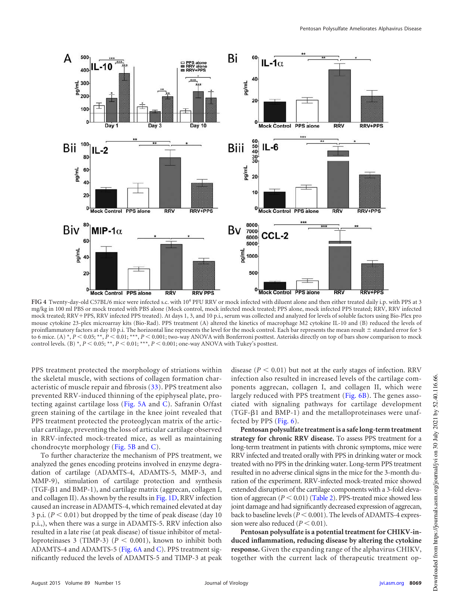

<span id="page-6-0"></span>FIG 4 Twenty-day-old C57BL/6 mice were infected s.c. with 10<sup>4</sup> PFU RRV or mock infected with diluent alone and then either treated daily i.p. with PPS at 3 mg/kg in 100 ml PBS or mock treated with PBS alone (Mock control, mock infected mock treated; PPS alone, mock infected PPS treated; RRV, RRV infected mock treated; RRV+PPS, RRV infected PPS treated). At days 1, 3, and 10 p.i., serum was collected and analyzed for levels of soluble factors using Bio-Plex pro mouse cytokine 23-plex microarray kits (Bio-Rad). PPS treatment (A) altered the kinetics of macrophage M2 cytokine IL-10 and (B) reduced the levels of proinflammatory factors at day 10 p.i. The horizontal line represents the level for the mock control. Each bar represents the mean result  $\pm$  standard error for 5 to 6 mice. (A) \*,  $P < 0.05$ ; \*\*,  $P < 0.01$ ; \*\*\*,  $P < 0.001$ ; two-way ANOVA with Bonferroni posttest. Asterisks directly on top of bars show comparison to mock control levels. (B) \*,  $P < 0.05$ ; \*\*,  $P < 0.01$ ; \*\*\*,  $P < 0.001$ ; one-way ANOVA with Tukey's posttest.

PPS treatment protected the morphology of striations within the skeletal muscle, with sections of collagen formation characteristic of muscle repair and fibrosis [\(33\)](#page-12-32). PPS treatment also prevented RRV-induced thinning of the epiphyseal plate, protecting against cartilage loss [\(Fig. 5A](#page-7-0) and [C\)](#page-7-0). Safranin O/fast green staining of the cartilage in the knee joint revealed that PPS treatment protected the proteoglycan matrix of the articular cartilage, preventing the loss of articular cartilage observed in RRV-infected mock-treated mice, as well as maintaining chondrocyte morphology [\(Fig. 5B](#page-7-0) and [C\)](#page-7-0).

To further characterize the mechanism of PPS treatment, we analyzed the genes encoding proteins involved in enzyme degradation of cartilage (ADAMTS-4, ADAMTS-5, MMP-3, and MMP-9), stimulation of cartilage protection and synthesis (TGF- $\beta$ 1 and BMP-1), and cartilage matrix (aggrecan, collagen I, and collagen II). As shown by the results in [Fig. 1D,](#page-2-0) RRV infection caused an increase in ADAMTS-4, which remained elevated at day 3 p.i.  $(P < 0.01)$  but dropped by the time of peak disease (day 10) p.i.,), when there was a surge in ADAMTS-5. RRV infection also resulted in a late rise (at peak disease) of tissue inhibitor of metalloproteinases 3 (TIMP-3)  $(P < 0.001)$ , known to inhibit both ADAMTS-4 and ADAMTS-5 [\(Fig. 6A](#page-8-0) and [C\)](#page-8-0). PPS treatment significantly reduced the levels of ADAMTS-5 and TIMP-3 at peak

disease  $(P < 0.01)$  but not at the early stages of infection. RRV infection also resulted in increased levels of the cartilage components aggrecan, collagen I, and collagen II, which were largely reduced with PPS treatment [\(Fig. 6B\)](#page-8-0). The genes associated with signaling pathways for cartilage development (TGF- $\beta$ 1 and BMP-1) and the metalloproteinases were unaffected by PPS [\(Fig. 6\)](#page-8-0).

**Pentosan polysulfate treatment is a safe long-term treatment strategy for chronic RRV disease.** To assess PPS treatment for a long-term treatment in patients with chronic symptoms, mice were RRV infected and treated orally with PPS in drinking water or mock treated with no PPS in the drinking water. Long-term PPS treatment resulted in no adverse clinical signs in the mice for the 3-month duration of the experiment. RRV-infected mock-treated mice showed extended disruption of the cartilage components with a 3-fold elevation of aggrecan  $(P < 0.01)$  [\(Table 2\)](#page-8-1). PPS-treated mice showed less joint damage and had significantly decreased expression of aggrecan, back to baseline levels ( $P < 0.001$ ). The levels of ADAMTS-4 expression were also reduced  $(P < 0.01)$ .

**Pentosan polysulfate is a potential treatment for CHIKV-induced inflammation, reducing disease by altering the cytokine response.** Given the expanding range of the alphavirus CHIKV, together with the current lack of therapeutic treatment op-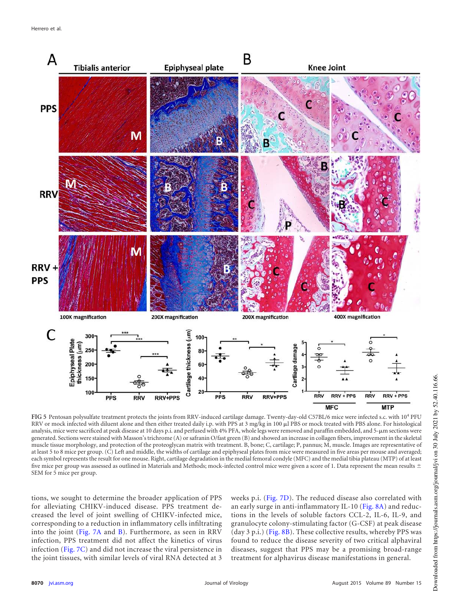

<span id="page-7-0"></span>FIG 5 Pentosan polysulfate treatment protects the joints from RRV-induced cartilage damage. Twenty-day-old C57BL/6 mice were infected s.c. with 10<sup>4</sup> PFU RRV or mock infected with diluent alone and then either treated daily i.p. with PPS at 3 mg/kg in 100 µl PBS or mock treated with PBS alone. For histological analysis, mice were sacrificed at peak disease at 10 days p.i. and perfused with 4% PFA, whole legs were removed and paraffin embedded, and 5-µm sections were generated. Sections were stained with Masson's trichrome (A) or safranin O/fast green (B) and showed an increase in collagen fibers, improvement in the skeletal muscle tissue morphology, and protection of the proteoglycan matrix with treatment. B, bone; C, cartilage; P, pannus; M, muscle. Images are representative of at least 5 to 8 mice per group. (C) Left and middle, the widths of cartilage and epiphyseal plates from mice were measured in five areas per mouse and averaged; each symbol represents the result for one mouse. Right, cartilage degradation in the medial femoral condyle (MFC) and the medial tibia plateau (MTP) of at least five mice per group was assessed as outlined in Materials and Methods; mock-infected control mice were given a score of 1. Data represent the mean results  $\pm$ SEM for 5 mice per group.

tions, we sought to determine the broader application of PPS for alleviating CHIKV-induced disease. PPS treatment decreased the level of joint swelling of CHIKV-infected mice, corresponding to a reduction in inflammatory cells infiltrating into the joint [\(Fig. 7A](#page-9-0) and [B\)](#page-9-0). Furthermore, as seen in RRV infection, PPS treatment did not affect the kinetics of virus infection [\(Fig. 7C\)](#page-9-0) and did not increase the viral persistence in the joint tissues, with similar levels of viral RNA detected at 3

weeks p.i. [\(Fig. 7D\)](#page-9-0). The reduced disease also correlated with an early surge in anti-inflammatory IL-10 [\(Fig. 8A\)](#page-10-0) and reductions in the levels of soluble factors CCL-2, IL-6, IL-9, and granulocyte colony-stimulating factor (G-CSF) at peak disease (day 3 p.i.) [\(Fig. 8B\)](#page-10-0). These collective results, whereby PPS was found to reduce the disease severity of two critical alphaviral diseases, suggest that PPS may be a promising broad-range treatment for alphavirus disease manifestations in general.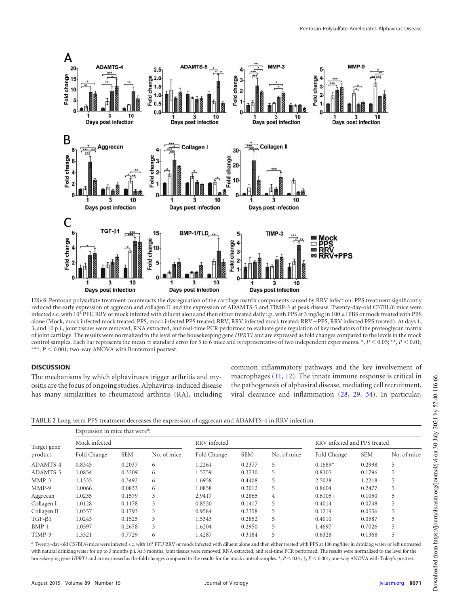

<span id="page-8-0"></span>**FIG 6** Pentosan polysulfate treatment counteracts the dysregulation of the cartilage matrix components caused by RRV infection. PPS treatment significantly reduced the early expression of aggrecan and collagen II and the expression of ADAMTS-5 and TIMP-3 at peak disease. Twenty-day-old C57BL/6 mice were infected s.c. with 10<sup>4</sup> PFU RRV or mock infected with diluent alone and then either treated daily i.p. with PPS at 3 mg/kg in 100 µl PBS or mock treated with PBS alone (Mock, mock infected mock treated; PPS, mock infected PPS treated; RRV, RRV infected mock treated; RRV+PPS, RRV infected PPS treated). At days 1, 3, and 10 p.i., joint tissues were removed, RNA extracted, and real-time PCR performed to evaluate gene regulation of key mediators of the proteoglycan matrix of joint cartilage. The results were normalized to the level of the housekeeping gene *HPRT1* and are expressed as fold changes compared to the levels in the mock control samples. Each bar represents the mean  $\pm$  standard error for 5 to 6 mice and is representative of two independent experiments. \*,  $P$  < 0.05; \*\*,  $P$  < 0.01;  $^{\star\star\star},$   $P$   $<$  0.001; two-way ANOVA with Bonferroni posttest.

## **DISCUSSION**

The mechanisms by which alphaviruses trigger arthritis and myositis are the focus of ongoing studies. Alphavirus-induced disease has many similarities to rheumatoid arthritis (RA), including common inflammatory pathways and the key involvement of macrophages [\(11,](#page-12-10) [12\)](#page-12-11). The innate immune response is critical in the pathogenesis of alphaviral disease, mediating cell recruitment, viral clearance and inflammation [\(28,](#page-12-27) [29,](#page-12-28) [34\)](#page-12-33). In particular,

<span id="page-8-1"></span>**TABLE 2** Long-term PPS treatment decreases the expression of aggrecan and ADAMTS-4 in RRV infection

| Target gene<br>product | Expression in mice that were <sup><i>a</i></sup> : |            |             |              |            |                |                              |            |             |  |  |
|------------------------|----------------------------------------------------|------------|-------------|--------------|------------|----------------|------------------------------|------------|-------------|--|--|
|                        | Mock infected                                      |            |             | RRV infected |            |                | RRV infected and PPS treated |            |             |  |  |
|                        | Fold Change                                        | <b>SEM</b> | No. of mice | Fold Change  | <b>SEM</b> | No. of mice    | Fold Change                  | <b>SEM</b> | No. of mice |  |  |
| ADAMTS-4               | 0.8345                                             | 0.2037     | 6           | 1.2261       | 0.2377     | 5              | $0.1689*$                    | 0.2998     | 5           |  |  |
| ADAMTS-5               | 1.0854                                             | 0.3209     | 6           | 1.5759       | 0.3730     | 5              | 0.8305                       | 0.1796     | 5           |  |  |
| $MMP-3$                | 1.1335                                             | 0.3492     | 6           | 1.6958       | 0.4408     | 5              | 2.5028                       | 1.2218     | C           |  |  |
| $MMP-9$                | 1.0066                                             | 0.0833     | 6           | 1.0858       | 0.2012     | 5              | 0.8604                       | 0.2477     | 5           |  |  |
| Aggrecan               | 1.0235                                             | 0.1579     | 3           | 2.9417       | 0.2865     | $\overline{4}$ | $0.6105\dagger$              | 0.1050     | 5           |  |  |
| Collagen I             | 1.0128                                             | 0.1178     | 3           | 0.8550       | 0.1417     | 5              | 0.4014                       | 0.0748     | 5           |  |  |
| Collagen II            | 1.0357                                             | 0.1793     | 3           | 0.9584       | 0.2358     | 5              | 0.1719                       | 0.0556     | 5           |  |  |
| $TGF-\beta1$           | 1.0243                                             | 0.1525     | 3           | 1.5343       | 0.2852     | 5              | 0.4010                       | 0.0587     | 5           |  |  |
| $BMP-1$                | 1.0597                                             | 0.2678     | 3           | 1.6204       | 0.2950     | 5              | 1.4697                       | 0.7026     | 5           |  |  |
| TIMP-3                 | 1.3321                                             | 0.7729     | 6           | 1.4287       | 0.3184     | 5              | 0.6328                       | 0.1368     | 5           |  |  |

*<sup>a</sup>* Twenty-day-old C57BL/6 mice were infected s.c. with 10<sup>4</sup> PFU RRV or mock infected with diluent alone and then either treated with PPS at 100 mg/liter in drinking water or left untreated with natural drinking water for up to 3 months p.i. At 3 months, joint tissues were removed, RNA extracted, and real-time PCR performed. The results were normalized to the level for the housekeeping gene *HPRT1* and are expressed as the fold changes compared to the results for the mock control samples. \*,  $P < 0.01$ ; †,  $P < 0.001$ ; one-way ANOVA with Tukey's posttest.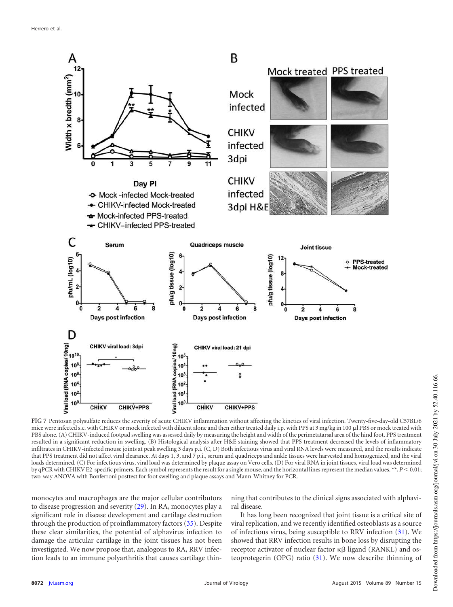

<span id="page-9-0"></span>**FIG 7** Pentosan polysulfate reduces the severity of acute CHIKV inflammation without affecting the kinetics of viral infection. Twenty-five-day-old C57BL/6 mice were infected s.c. with CHIKV or mock infected with diluent alone and then either treated daily i.p. with PPS at 3 mg/kg in 100 µl PBS or mock treated with PBS alone. (A) CHIKV-induced footpad swelling was assessed daily by measuring the height and width of the perimetatarsal area of the hind foot. PPS treatment resulted in a significant reduction in swelling. (B) Histological analysis after H&E staining showed that PPS treatment decreased the levels of inflammatory infiltrates in CHIKV-infected mouse joints at peak swelling 3 days p.i. (C, D) Both infectious virus and viral RNA levels were measured, and the results indicate that PPS treatment did not affect viral clearance. At days 1, 3, and 7 p.i., serum and quadriceps and ankle tissues were harvested and homogenized, and the viral loads determined. (C) For infectious virus, viral load was determined by plaque assay on Vero cells. (D) For viral RNA in joint tissues, viral load was determined by qPCR with CHIKV E2-specific primers. Each symbol represents the result for a single mouse, and the horizontal lines represent the median values. \*\*, *P* < 0.01; two-way ANOVA with Bonferroni posttest for foot swelling and plaque assays and Mann-Whitney for PCR.

monocytes and macrophages are the major cellular contributors to disease progression and severity [\(29\)](#page-12-28). In RA, monocytes play a significant role in disease development and cartilage destruction through the production of proinflammatory factors [\(35\)](#page-12-34). Despite these clear similarities, the potential of alphavirus infection to damage the articular cartilage in the joint tissues has not been investigated. We now propose that, analogous to RA, RRV infection leads to an immune polyarthritis that causes cartilage thinning that contributes to the clinical signs associated with alphaviral disease.

It has long been recognized that joint tissue is a critical site of viral replication, and we recently identified osteoblasts as a source of infectious virus, being susceptible to RRV infection [\(31\)](#page-12-30). We showed that RRV infection results in bone loss by disrupting the receptor activator of nuclear factor  $\kappa\beta$  ligand (RANKL) and osteoprotegerin (OPG) ratio [\(31\)](#page-12-30). We now describe thinning of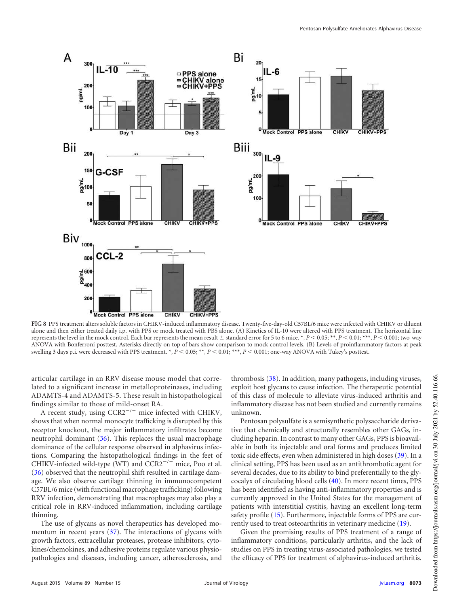

<span id="page-10-0"></span>**FIG 8** PPS treatment alters soluble factors in CHIKV-induced inflammatory disease. Twenty-five-day-old C57BL/6 mice were infected with CHIKV or diluent alone and then either treated daily i.p. with PPS or mock treated with PBS alone. (A) Kinetics of IL-10 were altered with PPS treatment. The horizontal line represents the level in the mock control. Each bar represents the mean result  $\pm$  standard error for 5 to 6 mice. \*,  $P < 0.05$ ; \*\*,  $P < 0.01$ ; \*\*\*,  $P < 0.001$ ; two-way ANOVA with Bonferroni posttest. Asterisks directly on top of bars show comparison to mock control levels. (B) Levels of proinflammatory factors at peak swelling 3 days p.i. were decreased with PPS treatment. \*,  $P < 0.05$ ; \*\*,  $P < 0.01$ ; \*\*\*,  $P < 0.001$ ; one-way ANOVA with Tukey's posttest.

articular cartilage in an RRV disease mouse model that correlated to a significant increase in metalloproteinases, including ADAMTS-4 and ADAMTS-5. These result in histopathological findings similar to those of mild-onset RA.

A recent study, using  $CCR2^{-/-}$  mice infected with CHIKV, shows that when normal monocyte trafficking is disrupted by this receptor knockout, the major inflammatory infiltrates become neutrophil dominant [\(36\)](#page-12-35). This replaces the usual macrophage dominance of the cellular response observed in alphavirus infections. Comparing the histopathological findings in the feet of CHIKV-infected wild-type (WT) and  $CCR2^{-/-}$  mice, Poo et al. [\(36\)](#page-12-35) observed that the neutrophil shift resulted in cartilage damage. We also observe cartilage thinning in immunocompetent C57BL/6 mice (with functional macrophage trafficking) following RRV infection, demonstrating that macrophages may also play a critical role in RRV-induced inflammation, including cartilage thinning.

The use of glycans as novel therapeutics has developed momentum in recent years [\(37\)](#page-12-36). The interactions of glycans with growth factors, extracellular proteases, protease inhibitors, cytokines/chemokines, and adhesive proteins regulate various physiopathologies and diseases, including cancer, atherosclerosis, and thrombosis [\(38\)](#page-13-0). In addition, many pathogens, including viruses, exploit host glycans to cause infection. The therapeutic potential of this class of molecule to alleviate virus-induced arthritis and inflammatory disease has not been studied and currently remains unknown.

Pentosan polysulfate is a semisynthetic polysaccharide derivative that chemically and structurally resembles other GAGs, including heparin. In contrast to many other GAGs, PPS is bioavailable in both its injectable and oral forms and produces limited toxic side effects, even when administered in high doses [\(39\)](#page-13-1). In a clinical setting, PPS has been used as an antithrombotic agent for several decades, due to its ability to bind preferentially to the glycocalyx of circulating blood cells [\(40\)](#page-13-2). In more recent times, PPS has been identified as having anti-inflammatory properties and is currently approved in the United States for the management of patients with interstitial cystitis, having an excellent long-term safety profile [\(15\)](#page-12-14). Furthermore, injectable forms of PPS are currently used to treat osteoarthritis in veterinary medicine [\(19\)](#page-12-18).

Given the promising results of PPS treatment of a range of inflammatory conditions, particularly arthritis, and the lack of studies on PPS in treating virus-associated pathologies, we tested the efficacy of PPS for treatment of alphavirus-induced arthritis.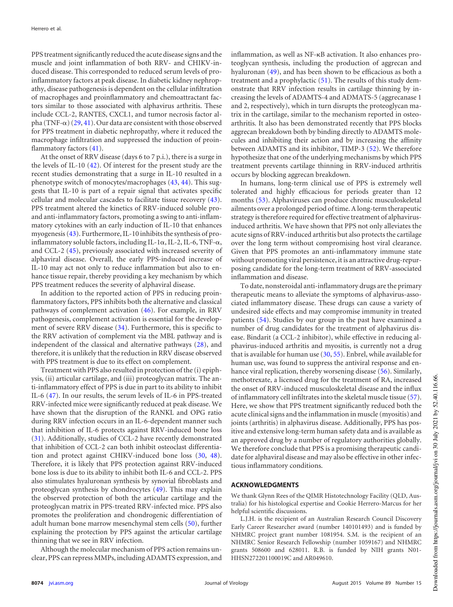PPS treatment significantly reduced the acute disease signs and the muscle and joint inflammation of both RRV- and CHIKV-induced disease. This corresponded to reduced serum levels of proinflammatory factors at peak disease. In diabetic kidney nephropathy, disease pathogenesis is dependent on the cellular infiltration of macrophages and proinflammatory and chemoattractant factors similar to those associated with alphavirus arthritis. These include CCL-2, RANTES, CXCL1, and tumor necrosis factor alpha (TNF- $\alpha$ ) [\(29,](#page-12-28) [41\)](#page-13-3). Our data are consistent with those observed for PPS treatment in diabetic nephropathy, where it reduced the macrophage infiltration and suppressed the induction of proinflammatory factors [\(41\)](#page-13-3).

At the onset of RRV disease (days 6 to 7 p.i.), there is a surge in the levels of IL-10 [\(42\)](#page-13-4). Of interest for the present study are the recent studies demonstrating that a surge in IL-10 resulted in a phenotype switch of monocytes/macrophages [\(43,](#page-13-5) [44\)](#page-13-6). This suggests that IL-10 is part of a repair signal that activates specific cellular and molecular cascades to facilitate tissue recovery [\(43\)](#page-13-5). PPS treatment altered the kinetics of RRV-induced soluble proand anti-inflammatory factors, promoting a swing to anti-inflammatory cytokines with an early induction of IL-10 that enhances myogenesis [\(43\)](#page-13-5). Furthermore, IL-10 inhibits the synthesis of proinflammatory soluble factors, including IL-1 $\alpha$ , IL-2, IL-6, TNF- $\alpha$ , and CCL-2 [\(45\)](#page-13-7), previously associated with increased severity of alphaviral disease. Overall, the early PPS-induced increase of IL-10 may act not only to reduce inflammation but also to enhance tissue repair, thereby providing a key mechanism by which PPS treatment reduces the severity of alphaviral disease.

In addition to the reported action of PPS in reducing proinflammatory factors, PPS inhibits both the alternative and classical pathways of complement activation [\(46\)](#page-13-8). For example, in RRV pathogenesis, complement activation is essential for the development of severe RRV disease [\(34\)](#page-12-33). Furthermore, this is specific to the RRV activation of complement via the MBL pathway and is independent of the classical and alternative pathways [\(28\)](#page-12-27), and therefore, it is unlikely that the reduction in RRV disease observed with PPS treatment is due to its effect on complement.

Treatment with PPS also resulted in protection of the (i) epiphysis, (ii) articular cartilage, and (iii) proteoglycan matrix. The anti-inflammatory effect of PPS is due in part to its ability to inhibit IL-6 [\(47\)](#page-13-9). In our results, the serum levels of IL-6 in PPS-treated RRV-infected mice were significantly reduced at peak disease. We have shown that the disruption of the RANKL and OPG ratio during RRV infection occurs in an IL-6-dependent manner such that inhibition of IL-6 protects against RRV-induced bone loss [\(31\)](#page-12-30). Additionally, studies of CCL-2 have recently demonstrated that inhibition of CCL-2 can both inhibit osteoclast differentiation and protect against CHIKV-induced bone loss [\(30,](#page-12-29) [48\)](#page-13-10). Therefore, it is likely that PPS protection against RRV-induced bone loss is due to its ability to inhibit both IL-6 and CCL-2. PPS also stimulates hyaluronan synthesis by synovial fibroblasts and proteoglycan synthesis by chondrocytes [\(49\)](#page-13-11). This may explain the observed protection of both the articular cartilage and the proteoglycan matrix in PPS-treated RRV-infected mice. PPS also promotes the proliferation and chondrogenic differentiation of adult human bone marrow mesenchymal stem cells [\(50\)](#page-13-12), further explaining the protection by PPS against the articular cartilage thinning that we see in RRV infection.

Although the molecular mechanism of PPS action remains unclear, PPS can repress MMPs, including ADAMTS expression, and

inflammation, as well as NF- B activation. It also enhances proteoglycan synthesis, including the production of aggrecan and hyaluronan [\(49\)](#page-13-11), and has been shown to be efficacious as both a treatment and a prophylactic [\(51\)](#page-13-13). The results of this study demonstrate that RRV infection results in cartilage thinning by increasing the levels of ADAMTS-4 and ADMATS-5 (aggrecanase 1 and 2, respectively), which in turn disrupts the proteoglycan matrix in the cartilage, similar to the mechanism reported in osteoarthritis. It also has been demonstrated recently that PPS blocks aggrecan breakdown both by binding directly to ADAMTS molecules and inhibiting their action and by increasing the affinity between ADAMTS and its inhibitor, TIMP-3 [\(52\)](#page-13-14). We therefore hypothesize that one of the underlying mechanisms by which PPS treatment prevents cartilage thinning in RRV-induced arthritis occurs by blocking aggrecan breakdown.

In humans, long-term clinical use of PPS is extremely well tolerated and highly efficacious for periods greater than 12 months [\(53\)](#page-13-15). Alphaviruses can produce chronic musculoskeletal ailments over a prolonged period of time. A long-term therapeutic strategy is therefore required for effective treatment of alphavirusinduced arthritis. We have shown that PPS not only alleviates the acute signs of RRV-induced arthritis but also protects the cartilage over the long term without compromising host viral clearance. Given that PPS promotes an anti-inflammatory immune state without promoting viral persistence, it is an attractive drug-repurposing candidate for the long-term treatment of RRV-associated inflammation and disease.

To date, nonsteroidal anti-inflammatory drugs are the primary therapeutic means to alleviate the symptoms of alphavirus-associated inflammatory disease. These drugs can cause a variety of undesired side effects and may compromise immunity in treated patients [\(54\)](#page-13-16). Studies by our group in the past have examined a number of drug candidates for the treatment of alphavirus disease. Bindarit (a CCL-2 inhibitor), while effective in reducing alphavirus-induced arthritis and myositis, is currently not a drug that is available for human use  $(30, 55)$  $(30, 55)$ . Enbrel, while available for human use, was found to suppress the antiviral response and enhance viral replication, thereby worsening disease [\(56\)](#page-13-18). Similarly, methotrexate, a licensed drug for the treatment of RA, increased the onset of RRV-induced musculoskeletal disease and the influx of inflammatory cell infiltrates into the skeletal muscle tissue [\(57\)](#page-13-19). Here, we show that PPS treatment significantly reduced both the acute clinical signs and the inflammation in muscle (myositis) and joints (arthritis) in alphavirus disease. Additionally, PPS has positive and extensive long-term human safety data and is available as an approved drug by a number of regulatory authorities globally. We therefore conclude that PPS is a promising therapeutic candidate for alphaviral disease and may also be effective in other infectious inflammatory conditions.

#### **ACKNOWLEDGMENTS**

We thank Glynn Rees of the QIMR Histotechnology Facility (QLD, Australia) for his histological expertise and Cookie Herrero-Marcus for her helpful scientific discussions.

L.J.H. is the recipient of an Australian Research Council Discovery Early Career Researcher award (number 140101493) and is funded by NHMRC project grant number 1081954. S.M. is the recipient of an NHMRC Senior Research Fellowship (number 1059167) and NHMRC grants 508600 and 628011. R.B. is funded by NIH grants N01- HHSN272201100019C and AR049610.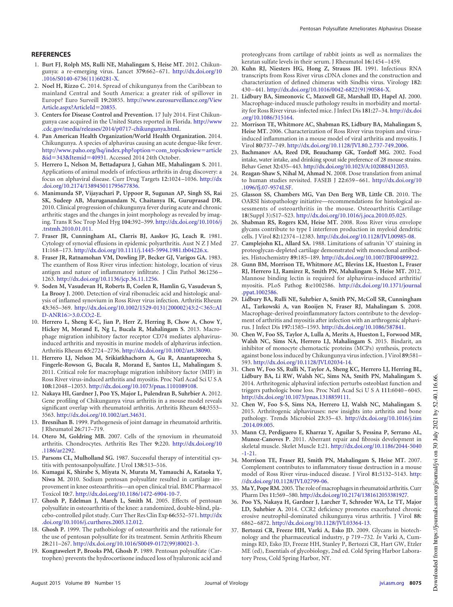#### <span id="page-12-0"></span>**REFERENCES**

- 1. **Burt FJ, Rolph MS, Rulli NE, Mahalingam S, Heise MT.** 2012. Chikungunya: a re-emerging virus. Lancet **379:**662– 671. http://dx.doi.org/10 .1016/S0140-6736(11)60281-X.
- <span id="page-12-1"></span>2. **Noel H, Rizzo C.** 2014. Spread of chikungunya from the Caribbean to mainland Central and South America: a greater risk of spillover in Europe? Euro Surveill **19:**20855. http://www.eurosurveillance.org/View Article.aspx?ArticleId=20855.
- <span id="page-12-2"></span>3. **Centers for Disease Control and Prevention.** 17 July 2014. First Chikungunya case acquired in the United States reported in Florida. http://www .cdc.gov/media/releases/2014/p0717-chikungunya.html.
- <span id="page-12-3"></span>4. **Pan American Health Organization/World Health Organization.** 2014. Chikungunya. A species of alphavirus causing an acute dengue-like fever. http://www.paho.org/hq/index.php?option=com\_topics&view=article &id=343&Itemid=40931. Accessed 2014 24th October.
- <span id="page-12-4"></span>5. **Herrero L, Nelson M, Bettadapura J, Gahan ME, Mahalingam S.** 2011. Applications of animal models of infectious arthritis in drug discovery: a focus on alphaviral disease. Curr Drug Targets **12:**1024 –1036. http://dx .doi.org/10.2174/138945011795677836.
- <span id="page-12-5"></span>6. **Manimunda SP, Vijayachari P, Uppoor R, Sugunan AP, Singh SS, Rai SK, Sudeep AB, Muruganandam N, Chaitanya IK, Guruprasad DR.** 2010. Clinical progression of chikungunya fever during acute and chronic arthritic stages and the changes in joint morphology as revealed by imaging. Trans R Soc Trop Med Hyg **104:**392–399. http://dx.doi.org/10.1016/j .trstmh.2010.01.011.
- <span id="page-12-6"></span>7. **Fraser JR, Cunningham AL, Clarris BJ, Aaskov JG, Leach R.** 1981. Cytology of synovial effusions in epidemic polyarthritis. Aust N Z J Med **11:**168 –173. http://dx.doi.org/10.1111/j.1445-5994.1981.tb04226.x.
- <span id="page-12-7"></span>8. **Fraser JR, Ratnamohan VM, Dowling JP, Becker GJ, Varigos GA.** 1983. The exanthem of Ross River virus infection: histology, location of virus antigen and nature of inflammatory infiltrate. J Clin Pathol **36:**1256 – 1263. http://dx.doi.org/10.1136/jcp.36.11.1256.
- <span id="page-12-8"></span>9. **Soden M, Vasudevan H, Roberts B, Coelen R, Hamlin G, Vasudevan S, La Brooy J.** 2000. Detection of viral ribonucleic acid and histologic analysis of inflamed synovium in Ross River virus infection. Arthritis Rheum **43:**365–369. http://dx.doi.org/10.1002/1529-0131(200002)43:2365::AI D-ANR16 3.0.CO;2-E.
- <span id="page-12-9"></span>10. **Herrero L, Sheng K-C, Jian P, Herr Z, Herring B, Chow A, Chow Y, Hickey M, Morand E, Ng L, Bucala R, Mahalingam S.** 2013. Macrophage migration inhibitory factor receptor CD74 mediates alphavirusinduced arthritis and myositis in murine models of alphavirus infection. Arthritis Rheum **65:**2724 –2736. http://dx.doi.org/10.1002/art.38090.
- <span id="page-12-10"></span>11. **Herrero LJ, Nelson M, Srikiatkhachorn A, Gu R, Anantapreecha S, Fingerle-Rowson G, Bucala R, Morand E, Santos LL, Mahalingam S.** 2011. Critical role for macrophage migration inhibitory factor (MIF) in Ross River virus-induced arthritis and myositis. Proc Natl Acad Sci U S A **108:**12048 –12053. http://dx.doi.org/10.1073/pnas.1101089108.
- <span id="page-12-11"></span>12. **Nakaya HI, Gardner J, Poo YS, Major L, Pulendran B, Suhrbier A.** 2012. Gene profiling of Chikungunya virus arthritis in a mouse model reveals significant overlap with rheumatoid arthritis. Arthritis Rheum **64:**3553– 3563. http://dx.doi.org/10.1002/art.34631.
- <span id="page-12-13"></span><span id="page-12-12"></span>13. **Bresnihan B.** 1999. Pathogenesis of joint damage in rheumatoid arthritis. J Rheumatol **26:**717–719.
- <span id="page-12-14"></span>14. **Otero M, Goldring MB.** 2007. Cells of the synovium in rheumatoid arthritis. Chondrocytes. Arthritis Res Ther **9:**220. http://dx.doi.org/10 .1186/ar2292.
- <span id="page-12-15"></span>15. **Parsons CL, Mulholland SG.** 1987. Successful therapy of interstitial cystitis with pentosanpolysulfate. J Urol **138:**513–516.
- 16. **Kumagai K, Shirabe S, Miyata N, Murata M, Yamauchi A, Kataoka Y, Niwa M.** 2010. Sodium pentosan polysulfate resulted in cartilage improvement in knee osteoarthritis—an open clinical trial. BMC Pharmacol Toxicol **10:**7. http://dx.doi.org/10.1186/1472-6904-10-7.
- <span id="page-12-16"></span>17. **Ghosh P, Edelman J, March L, Smith M.** 2005. Effects of pentosan polysulfate in osteoarthritis of the knee: a randomized, double-blind, placebo-controlled pilot study. Curr Ther Res Clin Exp **66:**552–571. http://dx .doi.org/10.1016/j.curtheres.2005.12.012.
- <span id="page-12-18"></span><span id="page-12-17"></span>18. **Ghosh P.** 1999. The pathobiology of osteoarthritis and the rationale for the use of pentosan polysulfate for its treatment. Semin Arthritis Rheum **28:**211–267. http://dx.doi.org/10.1016/S0049-0172(99)80021-3.
- 19. **Kongtawelert P, Brooks PM, Ghosh P.** 1989. Pentosan polysulfate (Cartrophen) prevents the hydrocortisone induced loss of hyaluronic acid and

proteoglycans from cartilage of rabbit joints as well as normalizes the keratan sulfate levels in their serum. J Rheumatol **16:**1454 –1459.

- <span id="page-12-19"></span>20. **Kuhn RJ, Niesters HG, Hong Z, Strauss JH.** 1991. Infectious RNA transcripts from Ross River virus cDNA clones and the construction and characterization of defined chimeras with Sindbis virus. Virology **182:** 430 – 441. http://dx.doi.org/10.1016/0042-6822(91)90584-X.
- <span id="page-12-20"></span>21. **Lidbury BA, Simeonovic C, Maxwell GE, Marshall ID, Hapel AJ.** 2000. Macrophage-induced muscle pathology results in morbidity and mortality for Ross River virus-infected mice. J Infect Dis **181:**27–34. http://dx.doi .org/10.1086/315164.
- <span id="page-12-21"></span>22. **Morrison TE, Whitmore AC, Shabman RS, Lidbury BA, Mahalingam S, Heise MT.** 2006. Characterization of Ross River virus tropism and virusinduced inflammation in a mouse model of viral arthritis and myositis. J Virol **80:**737–749. http://dx.doi.org/10.1128/JVI.80.2.737-749.2006.
- <span id="page-12-22"></span>23. **Bachmanov AA, Reed DR, Beauchamp GK, Tordoff MG.** 2002. Food intake, water intake, and drinking spout side preference of 28 mouse strains. Behav Genet **32:**435–443. http://dx.doi.org/10.1023/A:1020884312053.
- <span id="page-12-23"></span>24. **Reagan-Shaw S, Nihal M, Ahmad N.** 2008. Dose translation from animal to human studies revisited. FASEB J **22:**659 – 661. http://dx.doi.org/10 .1096/fj.07-9574LSF.
- <span id="page-12-24"></span>25. **Glasson SS, Chambers MG, Van Den Berg WB, Little CB.** 2010. The OARSI histopathology initiative—recommendations for histological assessments of osteoarthritis in the mouse. Osteoarthritis Cartilage **18**(Suppl 3)**:**S17–S23. http://dx.doi.org/10.1016/j.joca.2010.05.025.
- <span id="page-12-25"></span>26. **Shabman RS, Rogers KM, Heise MT.** 2008. Ross River virus envelope glycans contribute to type I interferon production in myeloid dendritic cells. J Virol **82:**12374 –12383. http://dx.doi.org/10.1128/JVI.00985-08.
- <span id="page-12-26"></span>27. **Camplejohn KL, Allard SA.** 1988. Limitations of safranin 'O' staining in proteoglycan-depleted cartilage demonstrated with monoclonal antibodies. Histochemistry **89:**185–189. http://dx.doi.org/10.1007/BF00489922.
- <span id="page-12-27"></span>28. **Gunn BM, Morrison TE, Whitmore AC, Blevins LK, Hueston L, Fraser RJ, Herrero LJ, Ramirez R, Smith PN, Mahalingam S, Heise MT.** 2012. Mannose binding lectin is required for alphavirus-induced arthritis/ myositis. PLoS Pathog **8:**e1002586. http://dx.doi.org/10.1371/journal .ppat.1002586.
- <span id="page-12-28"></span>29. **Lidbury BA, Rulli NE, Suhrbier A, Smith PN, McColl SR, Cunningham AL, Tarkowski A, van Rooijen N, Fraser RJ, Mahalingam S.** 2008. Macrophage-derived proinflammatory factors contribute to the development of arthritis and myositis after infection with an arthrogenic alphavirus. J Infect Dis **197:**1585–1593. http://dx.doi.org/10.1086/587841.
- <span id="page-12-29"></span>30. **Chen W, Foo SS, Taylor A, Lulla A, Merits A, Hueston L, Forwood MR, Walsh NC, Sims NA, Herrero LJ, Mahalingam S.** 2015. Bindarit, an inhibitor of monocyte chemotactic proteins (MCPs) synthesis, protects against bone loss induced by Chikungunya virus infection. J Virol **89:**581– 593. http://dx.doi.org/10.1128/JVI.02034-14.
- <span id="page-12-30"></span>31. **Chen W, Foo SS, Rulli N, Taylor A, Sheng KC, Herrero LJ, Herring BL, Lidbury BA, Li RW, Walsh NC, Sims NA, Smith PN, Mahalingam S.** 2014. Arthritogenic alphaviral infection perturbs osteoblast function and triggers pathologic bone loss. Proc Natl Acad SciUSA **111:**6040 – 6045. http://dx.doi.org/10.1073/pnas.1318859111.
- <span id="page-12-31"></span>32. **Chen W, Foo S-S, Sims NA, Herrero LJ, Walsh NC, Mahalingam S.** 2015. Arthritogenic alphaviruses: new insights into arthritis and bone pathology. Trends Microbiol **23:**35– 43. http://dx.doi.org/10.1016/j.tim .2014.09.005.
- <span id="page-12-32"></span>33. **Mann CJ, Perdiguero E, Kharraz Y, Aguilar S, Pessina P, Serrano AL, Munoz-Canoves P.** 2011. Aberrant repair and fibrosis development in skeletal muscle. Skelet Muscle **1:**21. http://dx.doi.org/10.1186/2044-5040 -1-21.
- <span id="page-12-33"></span>34. **Morrison TE, Fraser RJ, Smith PN, Mahalingam S, Heise MT.** 2007. Complement contributes to inflammatory tissue destruction in a mouse model of Ross River virus-induced disease. J Virol **81:**5132–5143. http: //dx.doi.org/10.1128/JVI.02799-06.
- <span id="page-12-35"></span><span id="page-12-34"></span>35. **Ma Y, Pope RM.** 2005. The role of macrophages in rheumatoid arthritis. Curr Pharm Des **11:**569–580. http://dx.doi.org/10.2174/1381612053381927.
- 36. **Poo YS, Nakaya H, Gardner J, Larcher T, Schroder WA, Le TT, Major LD, Suhrbier A.** 2014. CCR2 deficiency promotes exacerbated chronic erosive neutrophil-dominated chikungunya virus arthritis. J Virol **88:** 6862– 6872. http://dx.doi.org/10.1128/JVI.03364-13.
- <span id="page-12-36"></span>37. **Bertozzi CR, Freeze HH, Varki A, Esko JD.** 2009. Glycans in biotechnology and the pharmaceutical industry, p 719 –732. *In* Varki A, Cummings RD, Esko JD, Freeze HH, Stanley P, Bertozzi CR, Hart GW, Etzler ME (ed), Essentials of glycobiology, 2nd ed. Cold Spring Harbor Laboratory Press, Cold Spring Harbor, NY.